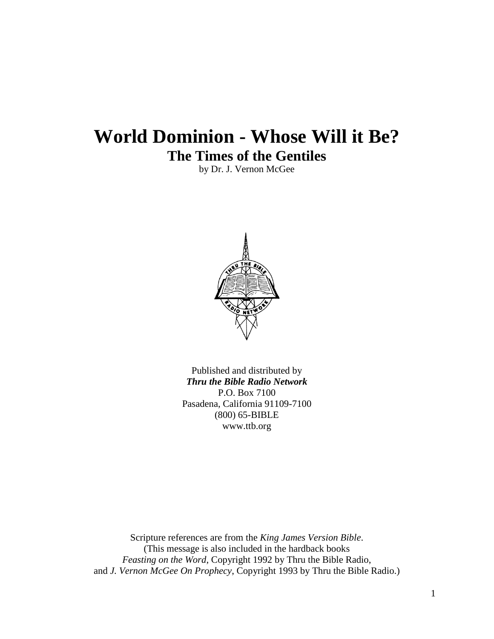# **World Dominion - Whose Will it Be? The Times of the Gentiles**

by Dr. J. Vernon McGee



Published and distributed by *Thru the Bible Radio Network* P.O. Box 7100 Pasadena, California 91109-7100 (800) 65-BIBLE www.ttb.org

Scripture references are from the *King James Version Bible*. (This message is also included in the hardback books *Feasting on the Word*, Copyright 1992 by Thru the Bible Radio, and *J. Vernon McGee On Prophecy*, Copyright 1993 by Thru the Bible Radio.)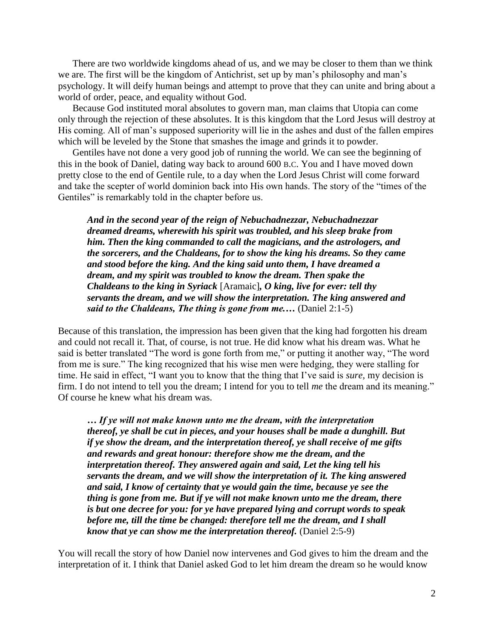There are two worldwide kingdoms ahead of us, and we may be closer to them than we think we are. The first will be the kingdom of Antichrist, set up by man's philosophy and man's psychology. It will deify human beings and attempt to prove that they can unite and bring about a world of order, peace, and equality without God.

Because God instituted moral absolutes to govern man, man claims that Utopia can come only through the rejection of these absolutes. It is this kingdom that the Lord Jesus will destroy at His coming. All of man's supposed superiority will lie in the ashes and dust of the fallen empires which will be leveled by the Stone that smashes the image and grinds it to powder.

Gentiles have not done a very good job of running the world. We can see the beginning of this in the book of Daniel, dating way back to around 600 B.C. You and I have moved down pretty close to the end of Gentile rule, to a day when the Lord Jesus Christ will come forward and take the scepter of world dominion back into His own hands. The story of the "times of the Gentiles" is remarkably told in the chapter before us.

*And in the second year of the reign of Nebuchadnezzar, Nebuchadnezzar dreamed dreams, wherewith his spirit was troubled, and his sleep brake from him. Then the king commanded to call the magicians, and the astrologers, and the sorcerers, and the Chaldeans, for to show the king his dreams. So they came and stood before the king. And the king said unto them, I have dreamed a dream, and my spirit was troubled to know the dream. Then spake the Chaldeans to the king in Syriack* [Aramaic]*, O king, live for ever: tell thy servants the dream, and we will show the interpretation. The king answered and said to the Chaldeans, The thing is gone from me.…* (Daniel 2:1-5)

Because of this translation, the impression has been given that the king had forgotten his dream and could not recall it. That, of course, is not true. He did know what his dream was. What he said is better translated "The word is gone forth from me," or putting it another way, "The word from me is sure." The king recognized that his wise men were hedging, they were stalling for time. He said in effect, "I want you to know that the thing that I've said is *sure,* my decision is firm. I do not intend to tell you the dream; I intend for you to tell *me* the dream and its meaning." Of course he knew what his dream was.

*… If ye will not make known unto me the dream, with the interpretation thereof, ye shall be cut in pieces, and your houses shall be made a dunghill. But if ye show the dream, and the interpretation thereof, ye shall receive of me gifts and rewards and great honour: therefore show me the dream, and the interpretation thereof. They answered again and said, Let the king tell his servants the dream, and we will show the interpretation of it. The king answered and said, I know of certainty that ye would gain the time, because ye see the thing is gone from me. But if ye will not make known unto me the dream, there is but one decree for you: for ye have prepared lying and corrupt words to speak before me, till the time be changed: therefore tell me the dream, and I shall know that ye can show me the interpretation thereof.* (Daniel 2:5-9)

You will recall the story of how Daniel now intervenes and God gives to him the dream and the interpretation of it. I think that Daniel asked God to let him dream the dream so he would know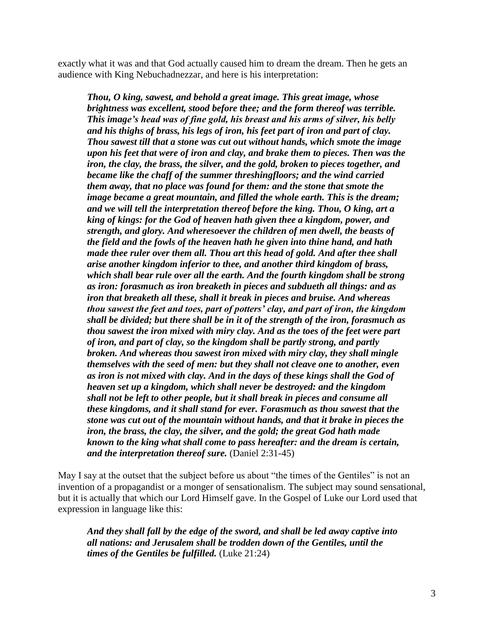exactly what it was and that God actually caused him to dream the dream. Then he gets an audience with King Nebuchadnezzar, and here is his interpretation:

*Thou, O king, sawest, and behold a great image. This great image, whose brightness was excellent, stood before thee; and the form thereof was terrible. This image's head was of fine gold, his breast and his arms of silver, his belly and his thighs of brass, his legs of iron, his feet part of iron and part of clay. Thou sawest till that a stone was cut out without hands, which smote the image upon his feet that were of iron and clay, and brake them to pieces. Then was the iron, the clay, the brass, the silver, and the gold, broken to pieces together, and became like the chaff of the summer threshingfloors; and the wind carried them away, that no place was found for them: and the stone that smote the image became a great mountain, and filled the whole earth. This is the dream; and we will tell the interpretation thereof before the king. Thou, O king, art a king of kings: for the God of heaven hath given thee a kingdom, power, and strength, and glory. And wheresoever the children of men dwell, the beasts of the field and the fowls of the heaven hath he given into thine hand, and hath made thee ruler over them all. Thou art this head of gold. And after thee shall arise another kingdom inferior to thee, and another third kingdom of brass, which shall bear rule over all the earth. And the fourth kingdom shall be strong as iron: forasmuch as iron breaketh in pieces and subdueth all things: and as iron that breaketh all these, shall it break in pieces and bruise. And whereas thou sawest the feet and toes, part of potters' clay, and part of iron, the kingdom shall be divided; but there shall be in it of the strength of the iron, forasmuch as thou sawest the iron mixed with miry clay. And as the toes of the feet were part of iron, and part of clay, so the kingdom shall be partly strong, and partly broken. And whereas thou sawest iron mixed with miry clay, they shall mingle themselves with the seed of men: but they shall not cleave one to another, even as iron is not mixed with clay. And in the days of these kings shall the God of heaven set up a kingdom, which shall never be destroyed: and the kingdom shall not be left to other people, but it shall break in pieces and consume all these kingdoms, and it shall stand for ever. Forasmuch as thou sawest that the stone was cut out of the mountain without hands, and that it brake in pieces the iron, the brass, the clay, the silver, and the gold; the great God hath made known to the king what shall come to pass hereafter: and the dream is certain, and the interpretation thereof sure.* (Daniel 2:31-45)

May I say at the outset that the subject before us about "the times of the Gentiles" is not an invention of a propagandist or a monger of sensationalism. The subject may sound sensational, but it is actually that which our Lord Himself gave. In the Gospel of Luke our Lord used that expression in language like this:

*And they shall fall by the edge of the sword, and shall be led away captive into all nations: and Jerusalem shall be trodden down of the Gentiles, until the times of the Gentiles be fulfilled.* (Luke 21:24)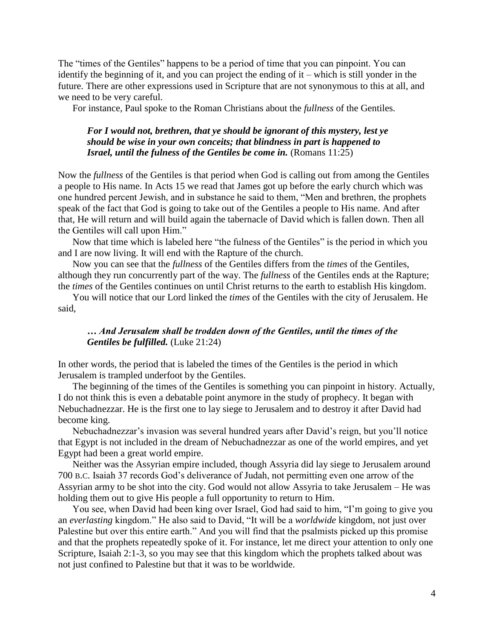The "times of the Gentiles" happens to be a period of time that you can pinpoint. You can identify the beginning of it, and you can project the ending of it – which is still yonder in the future. There are other expressions used in Scripture that are not synonymous to this at all, and we need to be very careful.

For instance, Paul spoke to the Roman Christians about the *fullness* of the Gentiles.

### *For I would not, brethren, that ye should be ignorant of this mystery, lest ye should be wise in your own conceits; that blindness in part is happened to Israel, until the fulness of the Gentiles be come in.* (Romans 11:25)

Now the *fullness* of the Gentiles is that period when God is calling out from among the Gentiles a people to His name. In Acts 15 we read that James got up before the early church which was one hundred percent Jewish, and in substance he said to them, "Men and brethren, the prophets speak of the fact that God is going to take out of the Gentiles a people to His name. And after that, He will return and will build again the tabernacle of David which is fallen down. Then all the Gentiles will call upon Him."

Now that time which is labeled here "the fulness of the Gentiles" is the period in which you and I are now living. It will end with the Rapture of the church.

Now you can see that the *fullness* of the Gentiles differs from the *times* of the Gentiles, although they run concurrently part of the way. The *fullness* of the Gentiles ends at the Rapture; the *times* of the Gentiles continues on until Christ returns to the earth to establish His kingdom.

You will notice that our Lord linked the *times* of the Gentiles with the city of Jerusalem. He said,

# *… And Jerusalem shall be trodden down of the Gentiles, until the times of the Gentiles be fulfilled.* (Luke 21:24)

In other words, the period that is labeled the times of the Gentiles is the period in which Jerusalem is trampled underfoot by the Gentiles.

The beginning of the times of the Gentiles is something you can pinpoint in history. Actually, I do not think this is even a debatable point anymore in the study of prophecy. It began with Nebuchadnezzar. He is the first one to lay siege to Jerusalem and to destroy it after David had become king.

Nebuchadnezzar's invasion was several hundred years after David's reign, but you'll notice that Egypt is not included in the dream of Nebuchadnezzar as one of the world empires, and yet Egypt had been a great world empire.

Neither was the Assyrian empire included, though Assyria did lay siege to Jerusalem around 700 B.C. Isaiah 37 records God's deliverance of Judah, not permitting even one arrow of the Assyrian army to be shot into the city. God would not allow Assyria to take Jerusalem – He was holding them out to give His people a full opportunity to return to Him.

You see, when David had been king over Israel, God had said to him, "I'm going to give you an *everlasting* kingdom." He also said to David, "It will be a *worldwide* kingdom, not just over Palestine but over this entire earth." And you will find that the psalmists picked up this promise and that the prophets repeatedly spoke of it. For instance, let me direct your attention to only one Scripture, Isaiah 2:1-3, so you may see that this kingdom which the prophets talked about was not just confined to Palestine but that it was to be worldwide.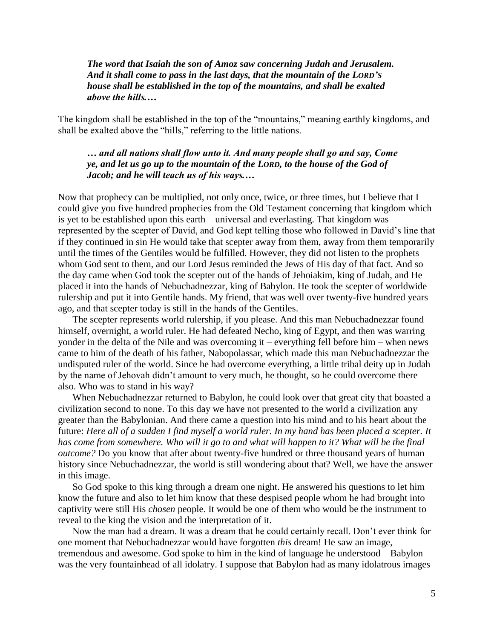### *The word that Isaiah the son of Amoz saw concerning Judah and Jerusalem. And it shall come to pass in the last days, that the mountain of the LORD'S house shall be established in the top of the mountains, and shall be exalted above the hills.…*

The kingdom shall be established in the top of the "mountains," meaning earthly kingdoms, and shall be exalted above the "hills," referring to the little nations.

# *… and all nations shall flow unto it. And many people shall go and say, Come ye, and let us go up to the mountain of the LORD, to the house of the God of Jacob; and he will teach us of his ways.…*

Now that prophecy can be multiplied, not only once, twice, or three times, but I believe that I could give you five hundred prophecies from the Old Testament concerning that kingdom which is yet to be established upon this earth – universal and everlasting. That kingdom was represented by the scepter of David, and God kept telling those who followed in David's line that if they continued in sin He would take that scepter away from them, away from them temporarily until the times of the Gentiles would be fulfilled. However, they did not listen to the prophets whom God sent to them, and our Lord Jesus reminded the Jews of His day of that fact. And so the day came when God took the scepter out of the hands of Jehoiakim, king of Judah, and He placed it into the hands of Nebuchadnezzar, king of Babylon. He took the scepter of worldwide rulership and put it into Gentile hands. My friend, that was well over twenty-five hundred years ago, and that scepter today is still in the hands of the Gentiles.

The scepter represents world rulership, if you please. And this man Nebuchadnezzar found himself, overnight, a world ruler. He had defeated Necho, king of Egypt, and then was warring yonder in the delta of the Nile and was overcoming it – everything fell before him – when news came to him of the death of his father, Nabopolassar, which made this man Nebuchadnezzar the undisputed ruler of the world. Since he had overcome everything, a little tribal deity up in Judah by the name of Jehovah didn't amount to very much, he thought, so he could overcome there also. Who was to stand in his way?

When Nebuchadnezzar returned to Babylon, he could look over that great city that boasted a civilization second to none. To this day we have not presented to the world a civilization any greater than the Babylonian. And there came a question into his mind and to his heart about the future: *Here all of a sudden I find myself a world ruler. In my hand has been placed a scepter. It*  has come from somewhere. Who will it go to and what will happen to it? What will be the final *outcome?* Do you know that after about twenty-five hundred or three thousand years of human history since Nebuchadnezzar, the world is still wondering about that? Well, we have the answer in this image.

So God spoke to this king through a dream one night. He answered his questions to let him know the future and also to let him know that these despised people whom he had brought into captivity were still His *chosen* people. It would be one of them who would be the instrument to reveal to the king the vision and the interpretation of it.

Now the man had a dream. It was a dream that he could certainly recall. Don't ever think for one moment that Nebuchadnezzar would have forgotten *this* dream! He saw an image, tremendous and awesome. God spoke to him in the kind of language he understood – Babylon was the very fountainhead of all idolatry. I suppose that Babylon had as many idolatrous images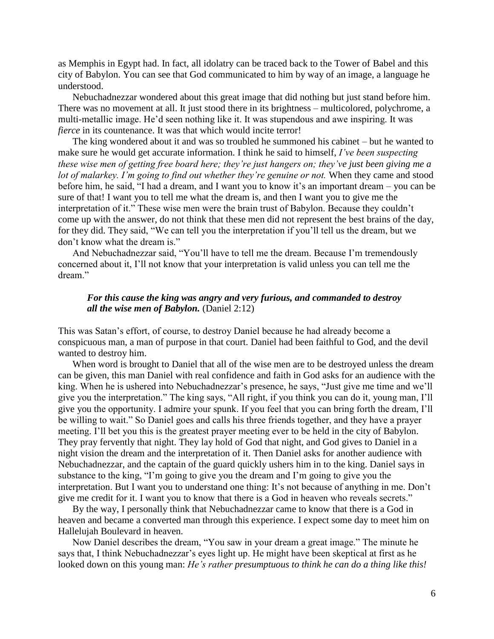as Memphis in Egypt had. In fact, all idolatry can be traced back to the Tower of Babel and this city of Babylon. You can see that God communicated to him by way of an image, a language he understood.

Nebuchadnezzar wondered about this great image that did nothing but just stand before him. There was no movement at all. It just stood there in its brightness – multicolored, polychrome, a multi-metallic image. He'd seen nothing like it. It was stupendous and awe inspiring. It was *fierce* in its countenance. It was that which would incite terror!

The king wondered about it and was so troubled he summoned his cabinet – but he wanted to make sure he would get accurate information. I think he said to himself, *I've been suspecting these wise men of getting free board here; they're just hangers on; they've just been giving me a lot of malarkey. I'm going to find out whether they're genuine or not.* When they came and stood before him, he said, "I had a dream, and I want you to know it's an important dream – you can be sure of that! I want you to tell me what the dream is, and then I want you to give me the interpretation of it." These wise men were the brain trust of Babylon. Because they couldn't come up with the answer, do not think that these men did not represent the best brains of the day, for they did. They said, "We can tell you the interpretation if you'll tell us the dream, but we don't know what the dream is."

And Nebuchadnezzar said, "You'll have to tell me the dream. Because I'm tremendously concerned about it, I'll not know that your interpretation is valid unless you can tell me the dream"

#### *For this cause the king was angry and very furious, and commanded to destroy all the wise men of Babylon.* (Daniel 2:12)

This was Satan's effort, of course, to destroy Daniel because he had already become a conspicuous man, a man of purpose in that court. Daniel had been faithful to God, and the devil wanted to destroy him.

When word is brought to Daniel that all of the wise men are to be destroyed unless the dream can be given, this man Daniel with real confidence and faith in God asks for an audience with the king. When he is ushered into Nebuchadnezzar's presence, he says, "Just give me time and we'll give you the interpretation." The king says, "All right, if you think you can do it, young man, I'll give you the opportunity. I admire your spunk. If you feel that you can bring forth the dream, I'll be willing to wait." So Daniel goes and calls his three friends together, and they have a prayer meeting. I'll bet you this is the greatest prayer meeting ever to be held in the city of Babylon. They pray fervently that night. They lay hold of God that night, and God gives to Daniel in a night vision the dream and the interpretation of it. Then Daniel asks for another audience with Nebuchadnezzar, and the captain of the guard quickly ushers him in to the king. Daniel says in substance to the king, "I'm going to give you the dream and I'm going to give you the interpretation. But I want you to understand one thing: It's not because of anything in me. Don't give me credit for it. I want you to know that there is a God in heaven who reveals secrets."

By the way, I personally think that Nebuchadnezzar came to know that there is a God in heaven and became a converted man through this experience. I expect some day to meet him on Hallelujah Boulevard in heaven.

Now Daniel describes the dream, "You saw in your dream a great image." The minute he says that, I think Nebuchadnezzar's eyes light up. He might have been skeptical at first as he looked down on this young man: *He's rather presumptuous to think he can do a thing like this!*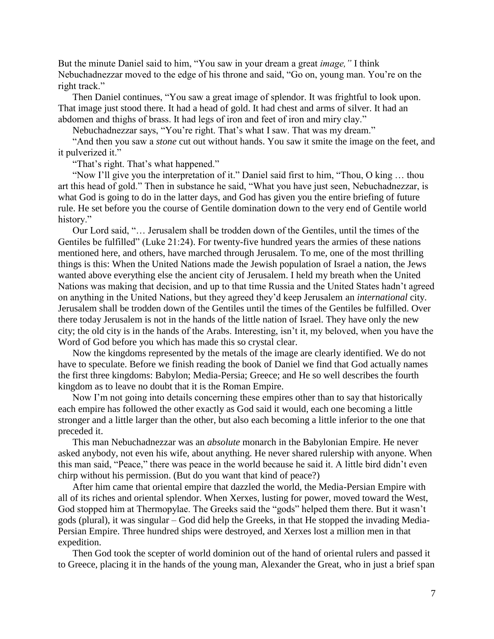But the minute Daniel said to him, "You saw in your dream a great *image,"* I think Nebuchadnezzar moved to the edge of his throne and said, "Go on, young man. You're on the right track."

Then Daniel continues, "You saw a great image of splendor. It was frightful to look upon. That image just stood there. It had a head of gold. It had chest and arms of silver. It had an abdomen and thighs of brass. It had legs of iron and feet of iron and miry clay."

Nebuchadnezzar says, "You're right. That's what I saw. That was my dream."

"And then you saw a *stone* cut out without hands. You saw it smite the image on the feet, and it pulverized it."

"That's right. That's what happened."

"Now I'll give you the interpretation of it." Daniel said first to him, "Thou, O king … thou art this head of gold." Then in substance he said, "What you have just seen, Nebuchadnezzar, is what God is going to do in the latter days, and God has given you the entire briefing of future rule. He set before you the course of Gentile domination down to the very end of Gentile world history."

Our Lord said, "… Jerusalem shall be trodden down of the Gentiles, until the times of the Gentiles be fulfilled" (Luke 21:24). For twenty-five hundred years the armies of these nations mentioned here, and others, have marched through Jerusalem. To me, one of the most thrilling things is this: When the United Nations made the Jewish population of Israel a nation, the Jews wanted above everything else the ancient city of Jerusalem. I held my breath when the United Nations was making that decision, and up to that time Russia and the United States hadn't agreed on anything in the United Nations, but they agreed they'd keep Jerusalem an *international* city. Jerusalem shall be trodden down of the Gentiles until the times of the Gentiles be fulfilled. Over there today Jerusalem is not in the hands of the little nation of Israel. They have only the new city; the old city is in the hands of the Arabs. Interesting, isn't it, my beloved, when you have the Word of God before you which has made this so crystal clear.

Now the kingdoms represented by the metals of the image are clearly identified. We do not have to speculate. Before we finish reading the book of Daniel we find that God actually names the first three kingdoms: Babylon; Media-Persia; Greece; and He so well describes the fourth kingdom as to leave no doubt that it is the Roman Empire.

Now I'm not going into details concerning these empires other than to say that historically each empire has followed the other exactly as God said it would, each one becoming a little stronger and a little larger than the other, but also each becoming a little inferior to the one that preceded it.

This man Nebuchadnezzar was an *absolute* monarch in the Babylonian Empire. He never asked anybody, not even his wife, about anything. He never shared rulership with anyone. When this man said, "Peace," there was peace in the world because he said it. A little bird didn't even chirp without his permission. (But do you want that kind of peace?)

After him came that oriental empire that dazzled the world, the Media-Persian Empire with all of its riches and oriental splendor. When Xerxes, lusting for power, moved toward the West, God stopped him at Thermopylae. The Greeks said the "gods" helped them there. But it wasn't gods (plural), it was singular – God did help the Greeks, in that He stopped the invading Media-Persian Empire. Three hundred ships were destroyed, and Xerxes lost a million men in that expedition.

Then God took the scepter of world dominion out of the hand of oriental rulers and passed it to Greece, placing it in the hands of the young man, Alexander the Great, who in just a brief span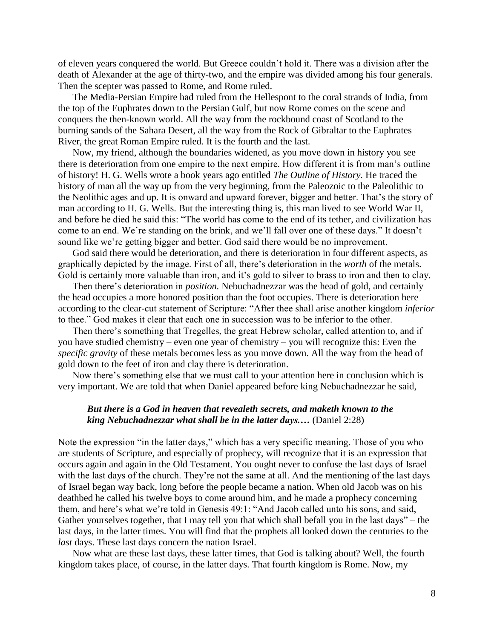of eleven years conquered the world. But Greece couldn't hold it. There was a division after the death of Alexander at the age of thirty-two, and the empire was divided among his four generals. Then the scepter was passed to Rome, and Rome ruled.

The Media-Persian Empire had ruled from the Hellespont to the coral strands of India, from the top of the Euphrates down to the Persian Gulf, but now Rome comes on the scene and conquers the then-known world. All the way from the rockbound coast of Scotland to the burning sands of the Sahara Desert, all the way from the Rock of Gibraltar to the Euphrates River, the great Roman Empire ruled. It is the fourth and the last.

Now, my friend, although the boundaries widened, as you move down in history you see there is deterioration from one empire to the next empire. How different it is from man's outline of history! H. G. Wells wrote a book years ago entitled *The Outline of History.* He traced the history of man all the way up from the very beginning, from the Paleozoic to the Paleolithic to the Neolithic ages and up. It is onward and upward forever, bigger and better. That's the story of man according to H. G. Wells. But the interesting thing is, this man lived to see World War II, and before he died he said this: "The world has come to the end of its tether, and civilization has come to an end. We're standing on the brink, and we'll fall over one of these days." It doesn't sound like we're getting bigger and better. God said there would be no improvement.

God said there would be deterioration, and there is deterioration in four different aspects, as graphically depicted by the image. First of all, there's deterioration in the *worth* of the metals. Gold is certainly more valuable than iron, and it's gold to silver to brass to iron and then to clay.

Then there's deterioration in *position.* Nebuchadnezzar was the head of gold, and certainly the head occupies a more honored position than the foot occupies. There is deterioration here according to the clear-cut statement of Scripture: "After thee shall arise another kingdom *inferior* to thee." God makes it clear that each one in succession was to be inferior to the other.

Then there's something that Tregelles, the great Hebrew scholar, called attention to, and if you have studied chemistry – even one year of chemistry – you will recognize this: Even the *specific gravity* of these metals becomes less as you move down. All the way from the head of gold down to the feet of iron and clay there is deterioration.

Now there's something else that we must call to your attention here in conclusion which is very important. We are told that when Daniel appeared before king Nebuchadnezzar he said,

### *But there is a God in heaven that revealeth secrets, and maketh known to the king Nebuchadnezzar what shall be in the latter days.…* (Daniel 2:28)

Note the expression "in the latter days," which has a very specific meaning. Those of you who are students of Scripture, and especially of prophecy, will recognize that it is an expression that occurs again and again in the Old Testament. You ought never to confuse the last days of Israel with the last days of the church. They're not the same at all. And the mentioning of the last days of Israel began way back, long before the people became a nation. When old Jacob was on his deathbed he called his twelve boys to come around him, and he made a prophecy concerning them, and here's what we're told in Genesis 49:1: "And Jacob called unto his sons, and said, Gather yourselves together, that I may tell you that which shall befall you in the last days" – the last days, in the latter times. You will find that the prophets all looked down the centuries to the *last* days. These last days concern the nation Israel.

Now what are these last days, these latter times, that God is talking about? Well, the fourth kingdom takes place, of course, in the latter days. That fourth kingdom is Rome. Now, my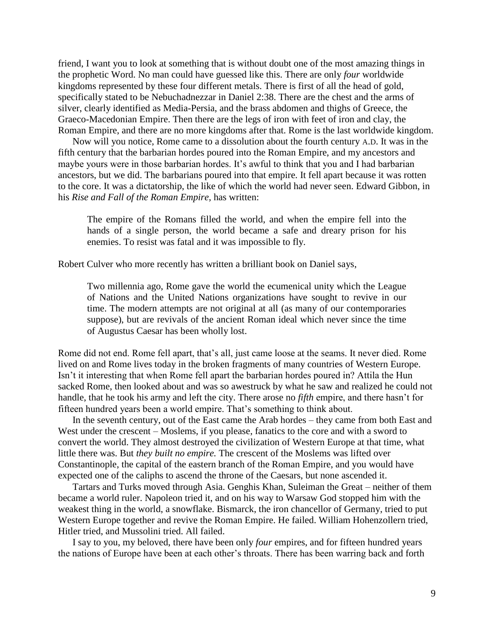friend, I want you to look at something that is without doubt one of the most amazing things in the prophetic Word. No man could have guessed like this. There are only *four* worldwide kingdoms represented by these four different metals. There is first of all the head of gold, specifically stated to be Nebuchadnezzar in Daniel 2:38. There are the chest and the arms of silver, clearly identified as Media-Persia, and the brass abdomen and thighs of Greece, the Graeco-Macedonian Empire. Then there are the legs of iron with feet of iron and clay, the Roman Empire, and there are no more kingdoms after that. Rome is the last worldwide kingdom.

Now will you notice, Rome came to a dissolution about the fourth century A.D. It was in the fifth century that the barbarian hordes poured into the Roman Empire, and my ancestors and maybe yours were in those barbarian hordes. It's awful to think that you and I had barbarian ancestors, but we did. The barbarians poured into that empire. It fell apart because it was rotten to the core. It was a dictatorship, the like of which the world had never seen. Edward Gibbon, in his *Rise and Fall of the Roman Empire,* has written:

The empire of the Romans filled the world, and when the empire fell into the hands of a single person, the world became a safe and dreary prison for his enemies. To resist was fatal and it was impossible to fly.

Robert Culver who more recently has written a brilliant book on Daniel says,

Two millennia ago, Rome gave the world the ecumenical unity which the League of Nations and the United Nations organizations have sought to revive in our time. The modern attempts are not original at all (as many of our contemporaries suppose), but are revivals of the ancient Roman ideal which never since the time of Augustus Caesar has been wholly lost.

Rome did not end. Rome fell apart, that's all, just came loose at the seams. It never died. Rome lived on and Rome lives today in the broken fragments of many countries of Western Europe. Isn't it interesting that when Rome fell apart the barbarian hordes poured in? Attila the Hun sacked Rome, then looked about and was so awestruck by what he saw and realized he could not handle, that he took his army and left the city. There arose no *fifth* empire, and there hasn't for fifteen hundred years been a world empire. That's something to think about.

In the seventh century, out of the East came the Arab hordes – they came from both East and West under the crescent – Moslems, if you please, fanatics to the core and with a sword to convert the world. They almost destroyed the civilization of Western Europe at that time, what little there was. But *they built no empire.* The crescent of the Moslems was lifted over Constantinople, the capital of the eastern branch of the Roman Empire, and you would have expected one of the caliphs to ascend the throne of the Caesars, but none ascended it.

Tartars and Turks moved through Asia. Genghis Khan, Suleiman the Great – neither of them became a world ruler. Napoleon tried it, and on his way to Warsaw God stopped him with the weakest thing in the world, a snowflake. Bismarck, the iron chancellor of Germany, tried to put Western Europe together and revive the Roman Empire. He failed. William Hohenzollern tried, Hitler tried, and Mussolini tried. All failed.

I say to you, my beloved, there have been only *four* empires, and for fifteen hundred years the nations of Europe have been at each other's throats. There has been warring back and forth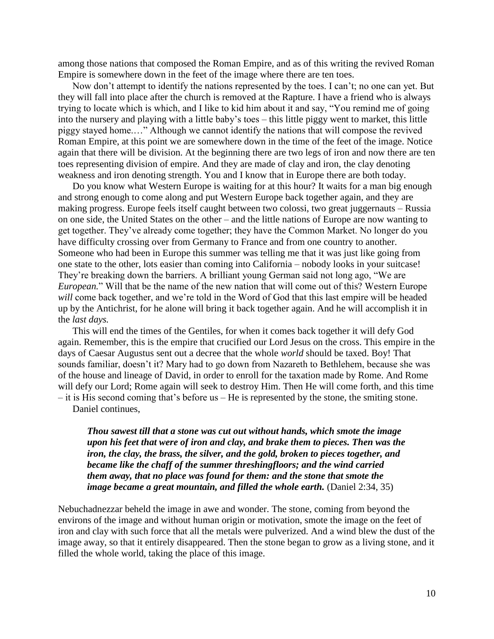among those nations that composed the Roman Empire, and as of this writing the revived Roman Empire is somewhere down in the feet of the image where there are ten toes.

Now don't attempt to identify the nations represented by the toes. I can't; no one can yet. But they will fall into place after the church is removed at the Rapture. I have a friend who is always trying to locate which is which, and I like to kid him about it and say, "You remind me of going into the nursery and playing with a little baby's toes – this little piggy went to market, this little piggy stayed home.…" Although we cannot identify the nations that will compose the revived Roman Empire, at this point we are somewhere down in the time of the feet of the image. Notice again that there will be division. At the beginning there are two legs of iron and now there are ten toes representing division of empire. And they are made of clay and iron, the clay denoting weakness and iron denoting strength. You and I know that in Europe there are both today.

Do you know what Western Europe is waiting for at this hour? It waits for a man big enough and strong enough to come along and put Western Europe back together again, and they are making progress. Europe feels itself caught between two colossi, two great juggernauts – Russia on one side, the United States on the other – and the little nations of Europe are now wanting to get together. They've already come together; they have the Common Market. No longer do you have difficulty crossing over from Germany to France and from one country to another. Someone who had been in Europe this summer was telling me that it was just like going from one state to the other, lots easier than coming into California – nobody looks in your suitcase! They're breaking down the barriers. A brilliant young German said not long ago, "We are *European.*" Will that be the name of the new nation that will come out of this? Western Europe *will* come back together, and we're told in the Word of God that this last empire will be headed up by the Antichrist, for he alone will bring it back together again. And he will accomplish it in the *last days.*

This will end the times of the Gentiles, for when it comes back together it will defy God again. Remember, this is the empire that crucified our Lord Jesus on the cross. This empire in the days of Caesar Augustus sent out a decree that the whole *world* should be taxed. Boy! That sounds familiar, doesn't it? Mary had to go down from Nazareth to Bethlehem, because she was of the house and lineage of David, in order to enroll for the taxation made by Rome. And Rome will defy our Lord; Rome again will seek to destroy Him. Then He will come forth, and this time – it is His second coming that's before us – He is represented by the stone, the smiting stone.

Daniel continues,

*Thou sawest till that a stone was cut out without hands, which smote the image upon his feet that were of iron and clay, and brake them to pieces. Then was the iron, the clay, the brass, the silver, and the gold, broken to pieces together, and became like the chaff of the summer threshingfloors; and the wind carried them away, that no place was found for them: and the stone that smote the image became a great mountain, and filled the whole earth.* (Daniel 2:34, 35)

Nebuchadnezzar beheld the image in awe and wonder. The stone, coming from beyond the environs of the image and without human origin or motivation, smote the image on the feet of iron and clay with such force that all the metals were pulverized. And a wind blew the dust of the image away, so that it entirely disappeared. Then the stone began to grow as a living stone, and it filled the whole world, taking the place of this image.